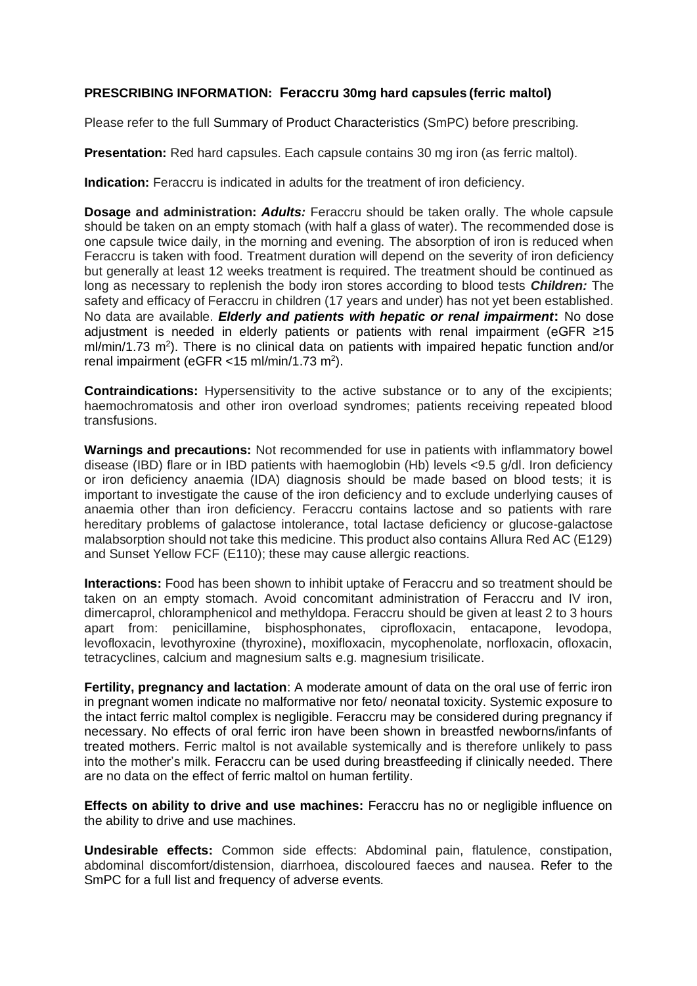## **PRESCRIBING INFORMATION: Feraccru 30mg hard capsules (ferric maltol)**

Please refer to the full Summary of Product Characteristics (SmPC) before prescribing.

**Presentation:** Red hard capsules. Each capsule contains 30 mg iron (as ferric maltol).

**Indication:** Feraccru is indicated in adults for the treatment of iron deficiency.

**Dosage and administration:** *Adults:* Feraccru should be taken orally. The whole capsule should be taken on an empty stomach (with half a glass of water). The recommended dose is one capsule twice daily, in the morning and evening. The absorption of iron is reduced when Feraccru is taken with food. Treatment duration will depend on the severity of iron deficiency but generally at least 12 weeks treatment is required. The treatment should be continued as long as necessary to replenish the body iron stores according to blood tests *Children:* The safety and efficacy of Feraccru in children (17 years and under) has not yet been established. No data are available. *Elderly and patients with hepatic or renal impairment***:** No dose adjustment is needed in elderly patients or patients with renal impairment (eGFR ≥15  $m/m$ in/1.73 m<sup>2</sup>). There is no clinical data on patients with impaired hepatic function and/or renal impairment (eGFR < 15 ml/min/1.73 m<sup>2</sup>).

**Contraindications:** Hypersensitivity to the active substance or to any of the excipients; haemochromatosis and other iron overload syndromes; patients receiving repeated blood transfusions.

**Warnings and precautions:** Not recommended for use in patients with inflammatory bowel disease (IBD) flare or in IBD patients with haemoglobin (Hb) levels <9.5 g/dl. Iron deficiency or iron deficiency anaemia (IDA) diagnosis should be made based on blood tests; it is important to investigate the cause of the iron deficiency and to exclude underlying causes of anaemia other than iron deficiency. Feraccru contains lactose and so patients with rare hereditary problems of galactose intolerance, total lactase deficiency or glucose-galactose malabsorption should not take this medicine. This product also contains Allura Red AC (E129) and Sunset Yellow FCF (E110); these may cause allergic reactions.

**Interactions:** Food has been shown to inhibit uptake of Feraccru and so treatment should be taken on an empty stomach. Avoid concomitant administration of Feraccru and IV iron, dimercaprol, chloramphenicol and methyldopa. Feraccru should be given at least 2 to 3 hours apart from: penicillamine, bisphosphonates, ciprofloxacin, entacapone, levodopa, levofloxacin, levothyroxine (thyroxine), moxifloxacin, mycophenolate, norfloxacin, ofloxacin, tetracyclines, calcium and magnesium salts e.g. magnesium trisilicate.

**Fertility, pregnancy and lactation**: A moderate amount of data on the oral use of ferric iron in pregnant women indicate no malformative nor feto/ neonatal toxicity. Systemic exposure to the intact ferric maltol complex is negligible. Feraccru may be considered during pregnancy if necessary. No effects of oral ferric iron have been shown in breastfed newborns/infants of treated mothers. Ferric maltol is not available systemically and is therefore unlikely to pass into the mother's milk. Feraccru can be used during breastfeeding if clinically needed. There are no data on the effect of ferric maltol on human fertility.

**Effects on ability to drive and use machines:** Feraccru has no or negligible influence on the ability to drive and use machines.

**Undesirable effects:** Common side effects: Abdominal pain, flatulence, constipation, abdominal discomfort/distension, diarrhoea, discoloured faeces and nausea. Refer to the SmPC for a full list and frequency of adverse events.